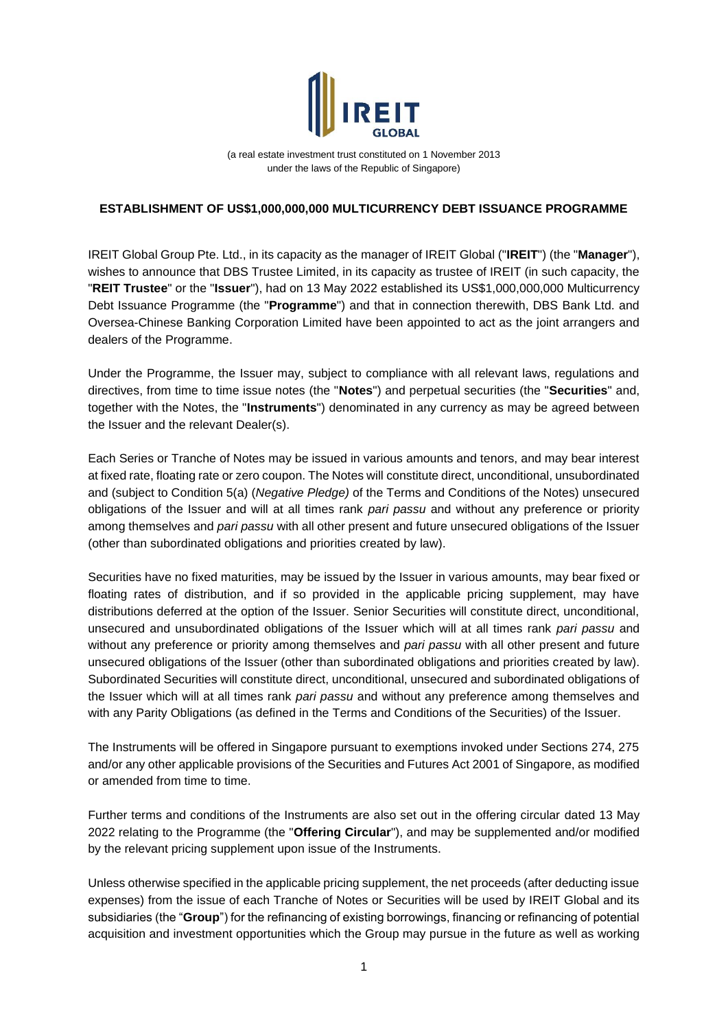

(a real estate investment trust constituted on 1 November 2013 under the laws of the Republic of Singapore)

## **ESTABLISHMENT OF US\$1,000,000,000 MULTICURRENCY DEBT ISSUANCE PROGRAMME**

IREIT Global Group Pte. Ltd., in its capacity as the manager of IREIT Global ("**IREIT**") (the "**Manager**"), wishes to announce that DBS Trustee Limited, in its capacity as trustee of IREIT (in such capacity, the "**REIT Trustee**" or the "**Issuer**"), had on 13 May 2022 established its US\$1,000,000,000 Multicurrency Debt Issuance Programme (the "**Programme**") and that in connection therewith, DBS Bank Ltd. and Oversea-Chinese Banking Corporation Limited have been appointed to act as the joint arrangers and dealers of the Programme.

Under the Programme, the Issuer may, subject to compliance with all relevant laws, regulations and directives, from time to time issue notes (the "**Notes**") and perpetual securities (the "**Securities**" and, together with the Notes, the "**Instruments**") denominated in any currency as may be agreed between the Issuer and the relevant Dealer(s).

Each Series or Tranche of Notes may be issued in various amounts and tenors, and may bear interest at fixed rate, floating rate or zero coupon. The Notes will constitute direct, unconditional, unsubordinated and (subject to Condition 5(a) (*Negative Pledge)* of the Terms and Conditions of the Notes) unsecured obligations of the Issuer and will at all times rank *pari passu* and without any preference or priority among themselves and *pari passu* with all other present and future unsecured obligations of the Issuer (other than subordinated obligations and priorities created by law).

Securities have no fixed maturities, may be issued by the Issuer in various amounts, may bear fixed or floating rates of distribution, and if so provided in the applicable pricing supplement, may have distributions deferred at the option of the Issuer. Senior Securities will constitute direct, unconditional, unsecured and unsubordinated obligations of the Issuer which will at all times rank *pari passu* and without any preference or priority among themselves and *pari passu* with all other present and future unsecured obligations of the Issuer (other than subordinated obligations and priorities created by law). Subordinated Securities will constitute direct, unconditional, unsecured and subordinated obligations of the Issuer which will at all times rank *pari passu* and without any preference among themselves and with any Parity Obligations (as defined in the Terms and Conditions of the Securities) of the Issuer.

The Instruments will be offered in Singapore pursuant to exemptions invoked under Sections 274, 275 and/or any other applicable provisions of the Securities and Futures Act 2001 of Singapore, as modified or amended from time to time.

Further terms and conditions of the Instruments are also set out in the offering circular dated 13 May 2022 relating to the Programme (the "**Offering Circular**"), and may be supplemented and/or modified by the relevant pricing supplement upon issue of the Instruments.

Unless otherwise specified in the applicable pricing supplement, the net proceeds (after deducting issue expenses) from the issue of each Tranche of Notes or Securities will be used by IREIT Global and its subsidiaries (the "**Group**") for the refinancing of existing borrowings, financing or refinancing of potential acquisition and investment opportunities which the Group may pursue in the future as well as working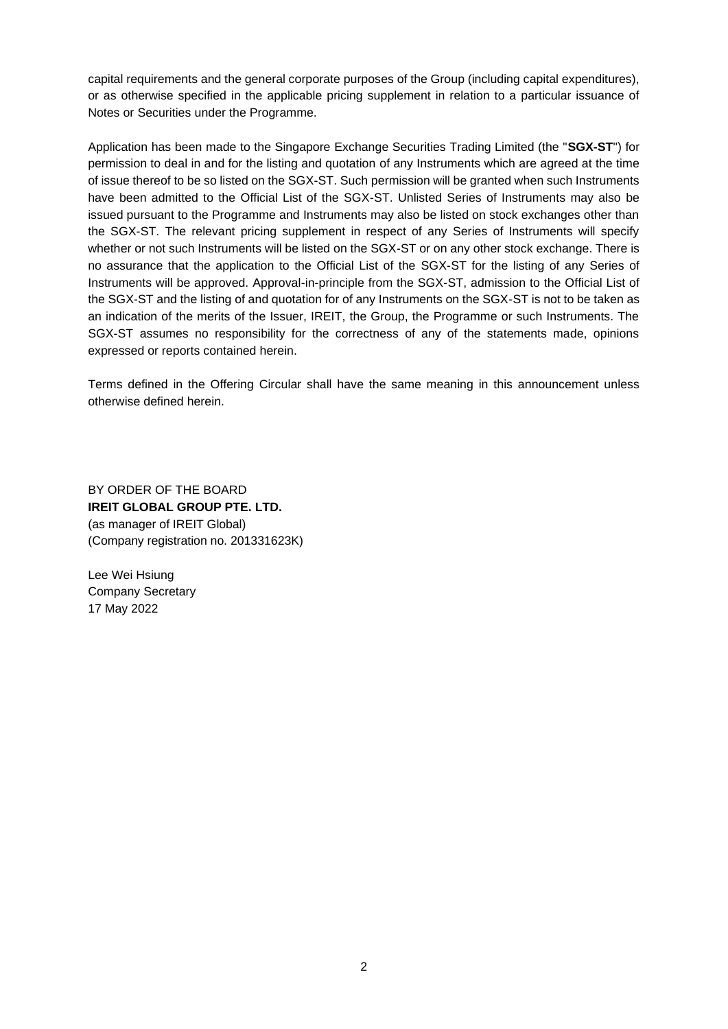capital requirements and the general corporate purposes of the Group (including capital expenditures), or as otherwise specified in the applicable pricing supplement in relation to a particular issuance of Notes or Securities under the Programme.

Application has been made to the Singapore Exchange Securities Trading Limited (the "**SGX-ST**") for permission to deal in and for the listing and quotation of any Instruments which are agreed at the time of issue thereof to be so listed on the SGX-ST. Such permission will be granted when such Instruments have been admitted to the Official List of the SGX-ST. Unlisted Series of Instruments may also be issued pursuant to the Programme and Instruments may also be listed on stock exchanges other than the SGX-ST. The relevant pricing supplement in respect of any Series of Instruments will specify whether or not such Instruments will be listed on the SGX-ST or on any other stock exchange. There is no assurance that the application to the Official List of the SGX-ST for the listing of any Series of Instruments will be approved. Approval-in-principle from the SGX-ST, admission to the Official List of the SGX-ST and the listing of and quotation for of any Instruments on the SGX-ST is not to be taken as an indication of the merits of the Issuer, IREIT, the Group, the Programme or such Instruments. The SGX-ST assumes no responsibility for the correctness of any of the statements made, opinions expressed or reports contained herein.

Terms defined in the Offering Circular shall have the same meaning in this announcement unless otherwise defined herein.

BY ORDER OF THE BOARD **IREIT GLOBAL GROUP PTE. LTD.** (as manager of IREIT Global) (Company registration no. 201331623K)

Lee Wei Hsiung Company Secretary 17 May 2022